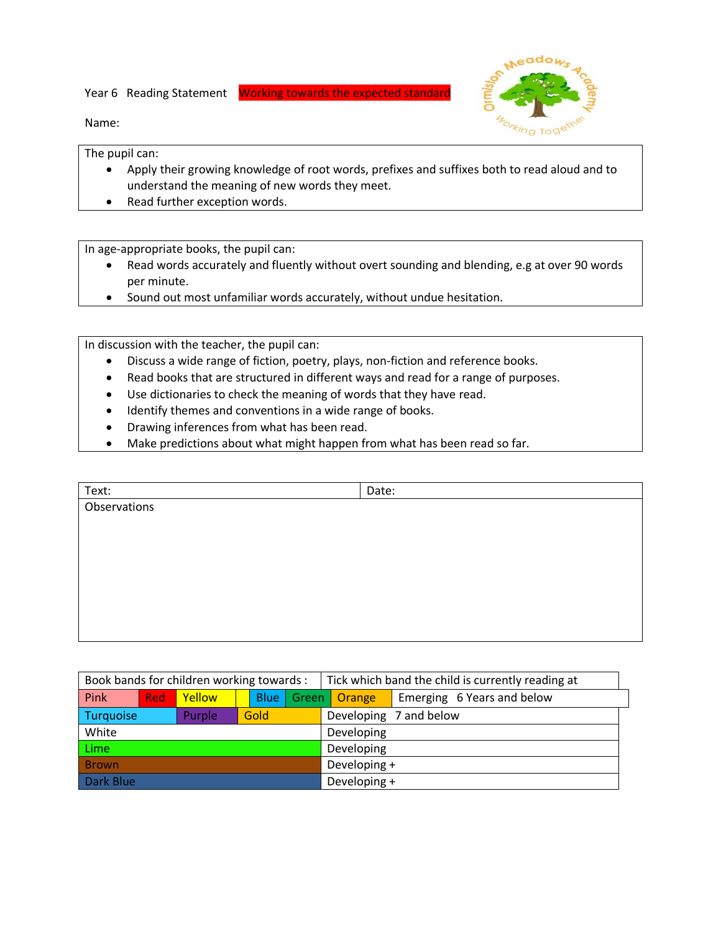Year 6 Reading Statement Working towards the expected standard



Name:

The pupil can:

- Apply their growing knowledge of root words, prefixes and suffixes both to read aloud and to understand the meaning of new words they meet.
- Read further exception words.

In age-appropriate books, the pupil can:

- Read words accurately and fluently without overt sounding and blending, e.g at over 90 words per minute.
- Sound out most unfamiliar words accurately, without undue hesitation.

In discussion with the teacher, the pupil can:

- Discuss a wide range of fiction, poetry, plays, non-fiction and reference books.
- Read books that are structured in different ways and read for a range of purposes.
- Use dictionaries to check the meaning of words that they have read.
- Identify themes and conventions in a wide range of books.
- Drawing inferences from what has been read.
- Make predictions about what might happen from what has been read so far.

| Text:        | Date: |  |
|--------------|-------|--|
| Observations |       |  |
|              |       |  |
|              |       |  |
|              |       |  |
|              |       |  |
|              |       |  |
|              |       |  |
|              |       |  |

| Book bands for children working towards : |            | Tick which band the child is currently reading at |             |       |  |              |                            |
|-------------------------------------------|------------|---------------------------------------------------|-------------|-------|--|--------------|----------------------------|
| Pink                                      | <b>Red</b> | Yellow                                            | <b>Blue</b> | Green |  | Orange       | Emerging 6 Years and below |
| Turquoise                                 |            | Purple                                            | Gold        |       |  |              | Developing 7 and below     |
| White                                     |            |                                                   |             |       |  | Developing   |                            |
| <b>Lime</b>                               |            |                                                   |             |       |  | Developing   |                            |
| <b>Brown</b>                              |            |                                                   |             |       |  | Developing + |                            |
| Dark Blue                                 |            |                                                   |             |       |  | Developing + |                            |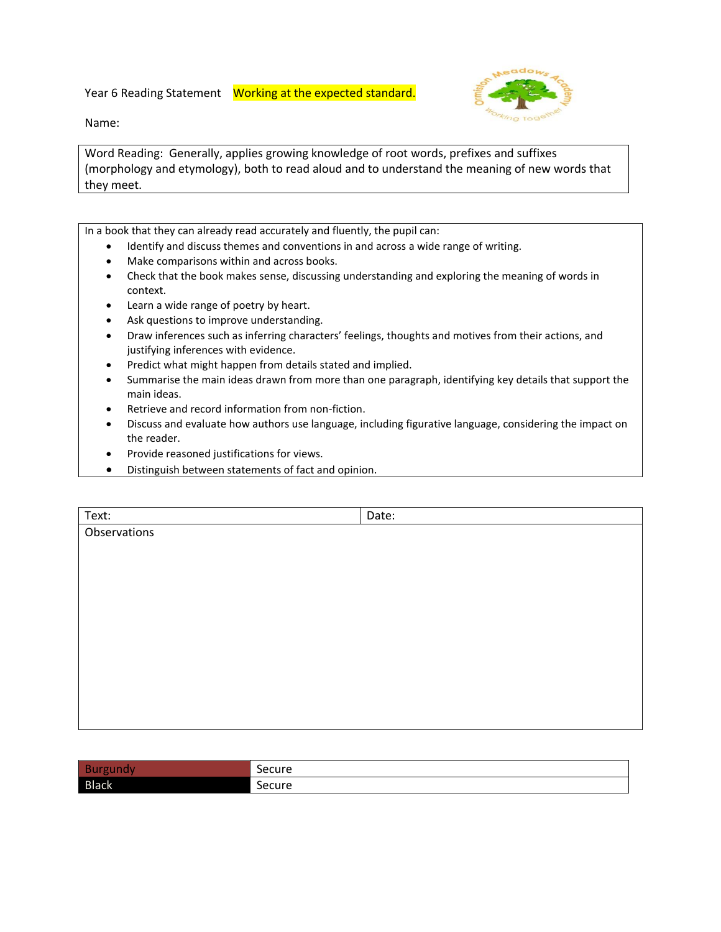Year 6 Reading Statement Working at the expected standard.

Name:

Word Reading: Generally, applies growing knowledge of root words, prefixes and suffixes (morphology and etymology), both to read aloud and to understand the meaning of new words that they meet.

In a book that they can already read accurately and fluently, the pupil can:

- Identify and discuss themes and conventions in and across a wide range of writing.
- Make comparisons within and across books.
- Check that the book makes sense, discussing understanding and exploring the meaning of words in context.
- Learn a wide range of poetry by heart.
- Ask questions to improve understanding.
- Draw inferences such as inferring characters' feelings, thoughts and motives from their actions, and justifying inferences with evidence.
- Predict what might happen from details stated and implied.
- Summarise the main ideas drawn from more than one paragraph, identifying key details that support the main ideas.
- Retrieve and record information from non-fiction.
- Discuss and evaluate how authors use language, including figurative language, considering the impact on the reader.
- Provide reasoned justifications for views.
- Distinguish between statements of fact and opinion.

| Text:        | Date: |  |
|--------------|-------|--|
| Observations |       |  |
|              |       |  |
|              |       |  |
|              |       |  |
|              |       |  |
|              |       |  |
|              |       |  |
|              |       |  |
|              |       |  |
|              |       |  |
|              |       |  |
|              |       |  |

|              | -<br>Secure |
|--------------|-------------|
| <b>Black</b> | Secure      |